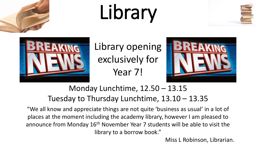





Library opening exclusively for Year 7!



#### Monday Lunchtime, 12.50 – 13.15 Tuesday to Thursday Lunchtime, 13.10 – 13.35

"We all know and appreciate things are not quite 'business as usual' in a lot of places at the moment including the academy library, however I am pleased to announce from Monday 16<sup>th</sup> November Year 7 students will be able to visit the library to a borrow book."

Miss L Robinson, Librarian.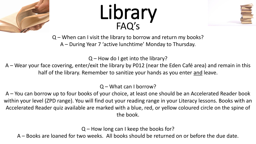





Q – When can I visit the library to borrow and return my books? A – During Year 7 'active lunchtime' Monday to Thursday.

 $Q$  – How do I get into the library?

A – Wear your face covering, enter/exit the library by P012 (near the Eden Café area) and remain in this half of the library. Remember to sanitize your hands as you enter and leave.

Q – What can I borrow?

A – You can borrow up to four books of your choice, at least one should be an Accelerated Reader book within your level (ZPD range). You will find out your reading range in your Literacy lessons. Books with an Accelerated Reader quiz available are marked with a blue, red, or yellow coloured circle on the spine of the book.

Q – How long can I keep the books for?

A – Books are loaned for two weeks. All books should be returned on or before the due date.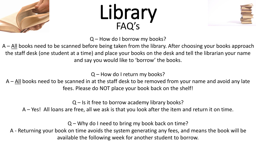





Q – How do I borrow my books?

 $A - \Delta II$  books need to be scanned before being taken from the library. After choosing your books approach the staff desk (one student at a time) and place your books on the desk and tell the librarian your name and say you would like to 'borrow' the books.

Q – How do I return my books?

A – All books need to be scanned in at the staff desk to be removed from your name and avoid any late fees. Please do NOT place your book back on the shelf!

 $Q$  – Is it free to borrow academy library books?

A – Yes! All loans are free, all we ask is that you look after the item and return it on time.

Q – Why do I need to bring my book back on time?

A - Returning your book on time avoids the system generating any fees, and means the book will be available the following week for another student to borrow.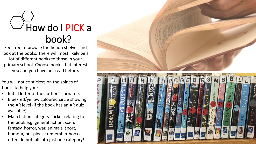### $\bigcup$ How do I PICK a book?

Feel free to browse the fiction shelves and look at the books. There will most likely be a lot of different books to those in your primary school. Choose books that interest you and you have not read before.

You will notice stickers on the spines of books to help you:

- Initial letter of the author's surname.
- Blue/red/yellow coloured circle showing the AR level (if the book has an AR quiz available).
- Main fiction category sticker relating to the book e.g. general fiction, sci-fi, fantasy, horror, war, animals, sport, humour, but please remember books often do not fall into just one category!

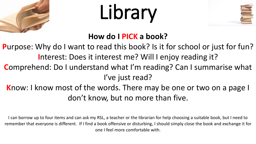![](_page_4_Picture_0.jpeg)

![](_page_4_Picture_2.jpeg)

#### **How do I PICK a book?**

**P**urpose: Why do I want to read this book? Is it for school or just for fun? **I**nterest: Does it interest me? Will I enjoy reading it?

- **C**omprehend: Do I understand what I'm reading? Can I summarise what I've just read?
- **K**now: I know most of the words. There may be one or two on a page I don't know, but no more than five.

I can borrow up to four items and can ask my RSL, a teacher or the librarian for help choosing a suitable book, but I need to remember that everyone is different. If I find a book offensive or disturbing, I should simply close the book and exchange it for one I feel more comfortable with.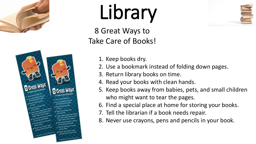![](_page_5_Picture_0.jpeg)

![](_page_5_Picture_2.jpeg)

8 Great Ways to Take Care of Books!

![](_page_5_Picture_4.jpeg)

- 1. Keep books dry.
- 2. Use a bookmark instead of folding down pages.
- 3. Return library books on time.
- 4. Read your books with clean hands.
- 5. Keep books away from babies, pets, and small children who might want to tear the pages.
- 6. Find a special place at home for storing your books.
- 7. Tell the librarian if a book needs repair.
- 8. Never use crayons, pens and pencils in your book.